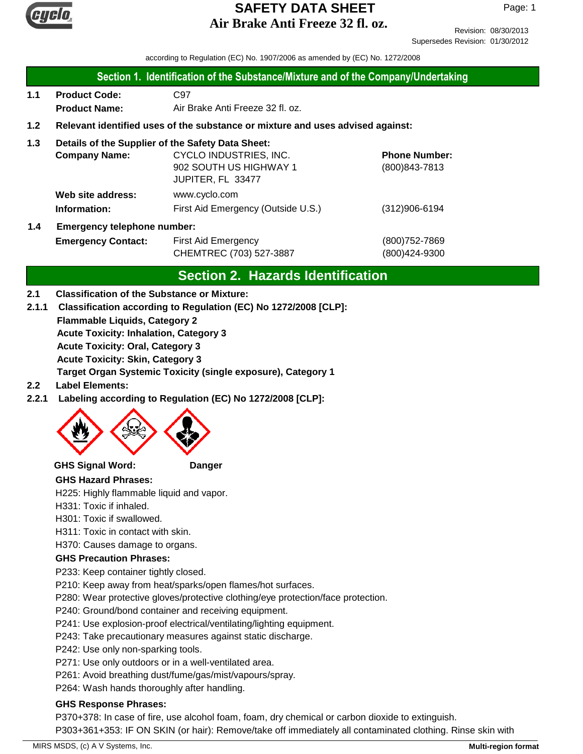

Revision: 08/30/2013 Supersedes Revision: 01/30/2012

according to Regulation (EC) No. 1907/2006 as amended by (EC) No. 1272/2008

| √ Section 1. Identification of the Substance/Mixture and of the Company/Undertaking |  |
|-------------------------------------------------------------------------------------|--|
|-------------------------------------------------------------------------------------|--|

- **1.1 Product Code:** C97 **Product Name:** Air Brake Anti Freeze 32 fl. oz.
- **1.2 Relevant identified uses of the substance or mixture and uses advised against:**
- **1.3 Details of the Supplier of the Safety Data Sheet:**

|     | <b>Company Name:</b>               | CYCLO INDUSTRIES, INC.             | <b>Phone Number:</b> |
|-----|------------------------------------|------------------------------------|----------------------|
|     |                                    | 902 SOUTH US HIGHWAY 1             | $(800)843 - 7813$    |
|     |                                    | JUPITER, FL 33477                  |                      |
|     | Web site address:                  | www.cyclo.com                      |                      |
|     | Information:                       | First Aid Emergency (Outside U.S.) | $(312)906 - 6194$    |
| 1.4 | <b>Emergency telephone number:</b> |                                    |                      |

| $\mathbf{1} \cdot \mathbf{1}$ | Linergency releptions number. |                         |               |  |
|-------------------------------|-------------------------------|-------------------------|---------------|--|
|                               | <b>Emergency Contact:</b>     | First Aid Emergency     | (800)752-7869 |  |
|                               |                               | CHEMTREC (703) 527-3887 | (800)424-9300 |  |

# **Section 2. Hazards Identification**

### **2.1 Classification of the Substance or Mixture:**

- **Flammable Liquids, Category 2 Acute Toxicity: Inhalation, Category 3 Acute Toxicity: Oral, Category 3 Acute Toxicity: Skin, Category 3 Target Organ Systemic Toxicity (single exposure), Category 1 2.1.1 Classification according to Regulation (EC) No 1272/2008 [CLP]:**
- **2.2 Label Elements:**
- **2.2.1 Labeling according to Regulation (EC) No 1272/2008 [CLP]:**



### **GHS Signal Word: Danger**

### **GHS Hazard Phrases:**

H225: Highly flammable liquid and vapor.

- H331: Toxic if inhaled.
- H301: Toxic if swallowed.
- H311: Toxic in contact with skin.
- H370: Causes damage to organs.

### **GHS Precaution Phrases:**

- P233: Keep container tightly closed.
- P210: Keep away from heat/sparks/open flames/hot surfaces.
- P280: Wear protective gloves/protective clothing/eye protection/face protection.
- P240: Ground/bond container and receiving equipment.
- P241: Use explosion-proof electrical/ventilating/lighting equipment.
- P243: Take precautionary measures against static discharge.
- P242: Use only non-sparking tools.
- P271: Use only outdoors or in a well-ventilated area.
- P261: Avoid breathing dust/fume/gas/mist/vapours/spray.
- P264: Wash hands thoroughly after handling.

### **GHS Response Phrases:**

P370+378: In case of fire, use alcohol foam, foam, dry chemical or carbon dioxide to extinguish. P303+361+353: IF ON SKIN (or hair): Remove/take off immediately all contaminated clothing. Rinse skin with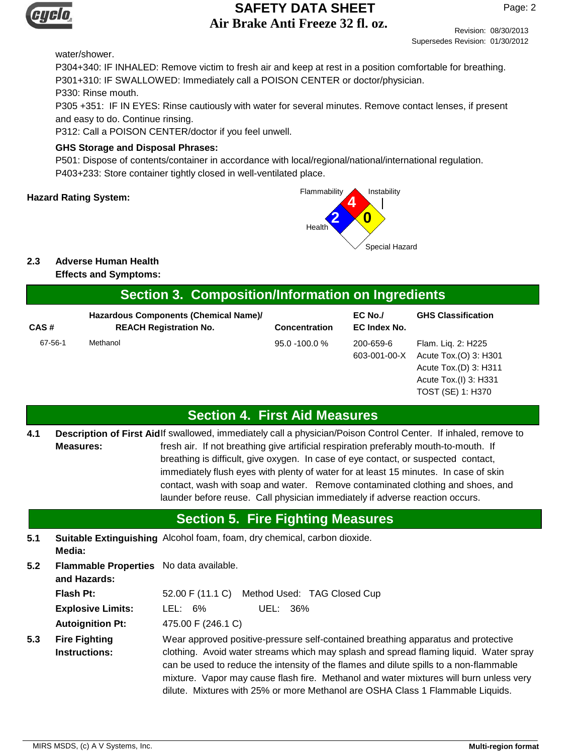

Revision: 08/30/2013

Supersedes Revision: 01/30/2012

#### water/shower.

P304+340: IF INHALED: Remove victim to fresh air and keep at rest in a position comfortable for breathing. P301+310: IF SWALLOWED: Immediately call a POISON CENTER or doctor/physician. P330: Rinse mouth. P305 +351: IF IN EYES: Rinse cautiously with water for several minutes. Remove contact lenses, if present and easy to do. Continue rinsing.

P312: Call a POISON CENTER/doctor if you feel unwell.

#### **GHS Storage and Disposal Phrases:**

P501: Dispose of contents/container in accordance with local/regional/national/international regulation. P403+233: Store container tightly closed in well-ventilated place.



## **2.3 Adverse Human Health**

**Effects and Symptoms:**

# **Section 3. Composition/Information on Ingredients**

| Hazardous Components (Chemical Name)/ |                               |                      | EC No./                   | <b>GHS Classification</b>                                            |
|---------------------------------------|-------------------------------|----------------------|---------------------------|----------------------------------------------------------------------|
| CAS#                                  | <b>REACH Registration No.</b> | <b>Concentration</b> | EC Index No.              |                                                                      |
| 67-56-1                               | Methanol                      | $95.0 - 100.0 %$     | 200-659-6<br>603-001-00-X | Flam. Lig. 2: H225<br>Acute Tox.(O) 3: H301<br>Acute Tox.(D) 3: H311 |
|                                       |                               |                      |                           | Acute Tox.(I) 3: H331<br>TOST (SE) 1: H370                           |

# **Section 4. First Aid Measures**

Description of First Aidlf swallowed, immediately call a physician/Poison Control Center. If inhaled, remove to fresh air. If not breathing give artificial respiration preferably mouth-to-mouth. If breathing is difficult, give oxygen. In case of eye contact, or suspected contact, immediately flush eyes with plenty of water for at least 15 minutes. In case of skin contact, wash with soap and water. Remove contaminated clothing and shoes, and launder before reuse. Call physician immediately if adverse reaction occurs. **Measures: 4.1**

# **Section 5. Fire Fighting Measures**

- **5.1 Suitable Extinguishing** Alcohol foam, foam, dry chemical, carbon dioxide. **Media:**
- **5.2** Flash Pt: 52.00 F (11.1 C) Method Used: TAG Closed Cup Wear approved positive-pressure self-contained breathing apparatus and protective **Fire Fighting Instructions: Autoignition Pt:** 475.00 F (246.1 C) **Explosive Limits:** LEL: 6% UEL: 36% **Flammable Properties** No data available. **and Hazards: 5.3**
	- clothing. Avoid water streams which may splash and spread flaming liquid. Water spray can be used to reduce the intensity of the flames and dilute spills to a non-flammable mixture. Vapor may cause flash fire. Methanol and water mixtures will burn unless very dilute. Mixtures with 25% or more Methanol are OSHA Class 1 Flammable Liquids.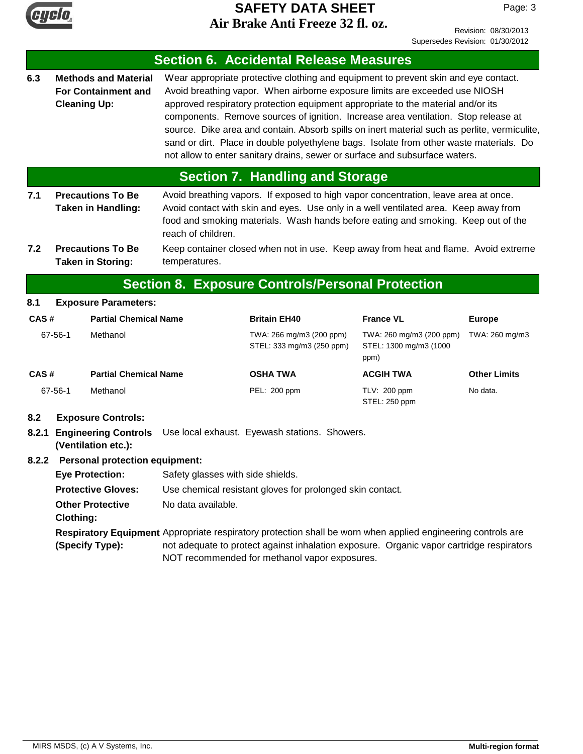

Revision: 08/30/2013 Supersedes Revision: 01/30/2012

|              |                                                                                                                                  |                                                                                   |                                                                                                                                                                                                                                                                                                                                                                               | <b>Section 6. Accidental Release Measures</b>                                                                                                                                                                                                                                                                                                                                                                                                                                                                                                                                                                          |                                                            |                     |
|--------------|----------------------------------------------------------------------------------------------------------------------------------|-----------------------------------------------------------------------------------|-------------------------------------------------------------------------------------------------------------------------------------------------------------------------------------------------------------------------------------------------------------------------------------------------------------------------------------------------------------------------------|------------------------------------------------------------------------------------------------------------------------------------------------------------------------------------------------------------------------------------------------------------------------------------------------------------------------------------------------------------------------------------------------------------------------------------------------------------------------------------------------------------------------------------------------------------------------------------------------------------------------|------------------------------------------------------------|---------------------|
| 6.3          | <b>Cleaning Up:</b>                                                                                                              | <b>Methods and Material</b><br><b>For Containment and</b>                         |                                                                                                                                                                                                                                                                                                                                                                               | Wear appropriate protective clothing and equipment to prevent skin and eye contact.<br>Avoid breathing vapor. When airborne exposure limits are exceeded use NIOSH<br>approved respiratory protection equipment appropriate to the material and/or its<br>components. Remove sources of ignition. Increase area ventilation. Stop release at<br>source. Dike area and contain. Absorb spills on inert material such as perlite, vermiculite,<br>sand or dirt. Place in double polyethylene bags. Isolate from other waste materials. Do<br>not allow to enter sanitary drains, sewer or surface and subsurface waters. |                                                            |                     |
|              |                                                                                                                                  |                                                                                   |                                                                                                                                                                                                                                                                                                                                                                               | <b>Section 7. Handling and Storage</b>                                                                                                                                                                                                                                                                                                                                                                                                                                                                                                                                                                                 |                                                            |                     |
| 7.1<br>7.2   |                                                                                                                                  | <b>Precautions To Be</b><br><b>Taken in Handling:</b><br><b>Precautions To Be</b> | Avoid breathing vapors. If exposed to high vapor concentration, leave area at once.<br>Avoid contact with skin and eyes. Use only in a well ventilated area. Keep away from<br>food and smoking materials. Wash hands before eating and smoking. Keep out of the<br>reach of children.<br>Keep container closed when not in use. Keep away from heat and flame. Avoid extreme |                                                                                                                                                                                                                                                                                                                                                                                                                                                                                                                                                                                                                        |                                                            |                     |
|              |                                                                                                                                  | <b>Taken in Storing:</b>                                                          | temperatures.                                                                                                                                                                                                                                                                                                                                                                 |                                                                                                                                                                                                                                                                                                                                                                                                                                                                                                                                                                                                                        |                                                            |                     |
|              |                                                                                                                                  |                                                                                   |                                                                                                                                                                                                                                                                                                                                                                               | <b>Section 8. Exposure Controls/Personal Protection</b>                                                                                                                                                                                                                                                                                                                                                                                                                                                                                                                                                                |                                                            |                     |
| 8.1          |                                                                                                                                  | <b>Exposure Parameters:</b>                                                       |                                                                                                                                                                                                                                                                                                                                                                               |                                                                                                                                                                                                                                                                                                                                                                                                                                                                                                                                                                                                                        |                                                            |                     |
| CAS#         |                                                                                                                                  | <b>Partial Chemical Name</b>                                                      |                                                                                                                                                                                                                                                                                                                                                                               | <b>Britain EH40</b>                                                                                                                                                                                                                                                                                                                                                                                                                                                                                                                                                                                                    | <b>France VL</b>                                           | <b>Europe</b>       |
|              | 67-56-1                                                                                                                          | Methanol                                                                          |                                                                                                                                                                                                                                                                                                                                                                               | TWA: 266 mg/m3 (200 ppm)<br>STEL: 333 mg/m3 (250 ppm)                                                                                                                                                                                                                                                                                                                                                                                                                                                                                                                                                                  | TWA: 260 mg/m3 (200 ppm)<br>STEL: 1300 mg/m3 (1000<br>ppm) | TWA: 260 mg/m3      |
| CAS#         |                                                                                                                                  | <b>Partial Chemical Name</b>                                                      |                                                                                                                                                                                                                                                                                                                                                                               | <b>OSHA TWA</b>                                                                                                                                                                                                                                                                                                                                                                                                                                                                                                                                                                                                        | <b>ACGIH TWA</b>                                           | <b>Other Limits</b> |
|              | 67-56-1                                                                                                                          | Methanol                                                                          |                                                                                                                                                                                                                                                                                                                                                                               | PEL: 200 ppm                                                                                                                                                                                                                                                                                                                                                                                                                                                                                                                                                                                                           | TLV: 200 ppm<br>STEL: 250 ppm                              | No data.            |
| 8.2<br>8.2.1 | <b>Exposure Controls:</b><br>Use local exhaust. Eyewash stations. Showers.<br><b>Engineering Controls</b><br>(Ventilation etc.): |                                                                                   |                                                                                                                                                                                                                                                                                                                                                                               |                                                                                                                                                                                                                                                                                                                                                                                                                                                                                                                                                                                                                        |                                                            |                     |
| 8.2.2        |                                                                                                                                  | <b>Personal protection equipment:</b>                                             |                                                                                                                                                                                                                                                                                                                                                                               |                                                                                                                                                                                                                                                                                                                                                                                                                                                                                                                                                                                                                        |                                                            |                     |
|              |                                                                                                                                  | <b>Eye Protection:</b>                                                            | Safety glasses with side shields.                                                                                                                                                                                                                                                                                                                                             |                                                                                                                                                                                                                                                                                                                                                                                                                                                                                                                                                                                                                        |                                                            |                     |
|              | <b>Protective Gloves:</b>                                                                                                        |                                                                                   | Use chemical resistant gloves for prolonged skin contact.                                                                                                                                                                                                                                                                                                                     |                                                                                                                                                                                                                                                                                                                                                                                                                                                                                                                                                                                                                        |                                                            |                     |
|              | <b>Clothing:</b>                                                                                                                 | <b>Other Protective</b>                                                           | No data available.                                                                                                                                                                                                                                                                                                                                                            |                                                                                                                                                                                                                                                                                                                                                                                                                                                                                                                                                                                                                        |                                                            |                     |
|              |                                                                                                                                  | (Specify Type):                                                                   |                                                                                                                                                                                                                                                                                                                                                                               | Respiratory Equipment Appropriate respiratory protection shall be worn when applied engineering controls are<br>not adequate to protect against inhalation exposure. Organic vapor cartridge respirators<br>NOT recommended for methanol vapor exposures.                                                                                                                                                                                                                                                                                                                                                              |                                                            |                     |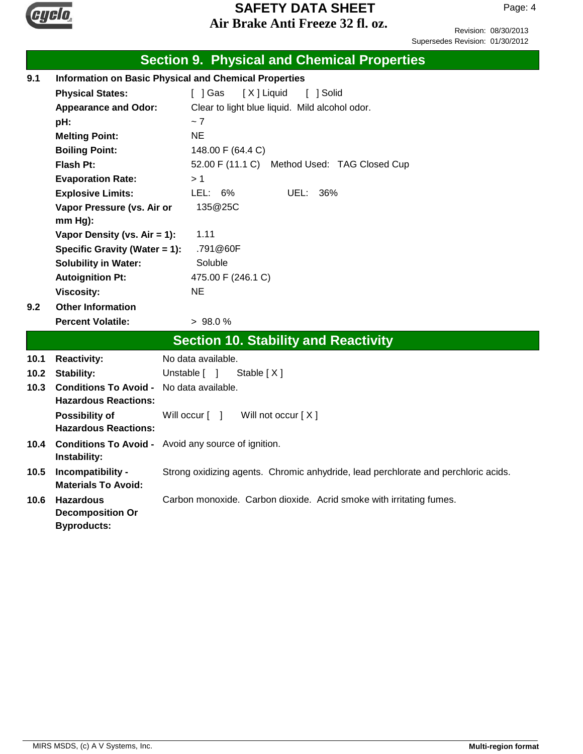

Revision: 08/30/2013 Supersedes Revision: 01/30/2012

|      |                                                                   | <b>Section 9. Physical and Chemical Properties</b>                                 |  |  |  |
|------|-------------------------------------------------------------------|------------------------------------------------------------------------------------|--|--|--|
| 9.1  | <b>Information on Basic Physical and Chemical Properties</b>      |                                                                                    |  |  |  |
|      | <b>Physical States:</b>                                           | [ ] Gas<br>[X] Liquid<br>[ ] Solid                                                 |  |  |  |
|      | <b>Appearance and Odor:</b>                                       | Clear to light blue liquid. Mild alcohol odor.                                     |  |  |  |
|      | pH:                                                               | ~1                                                                                 |  |  |  |
|      | <b>Melting Point:</b>                                             | <b>NE</b>                                                                          |  |  |  |
|      | <b>Boiling Point:</b>                                             | 148.00 F (64.4 C)                                                                  |  |  |  |
|      | <b>Flash Pt:</b>                                                  | 52.00 F (11.1 C)<br>Method Used: TAG Closed Cup                                    |  |  |  |
|      | <b>Evaporation Rate:</b>                                          | >1                                                                                 |  |  |  |
|      | <b>Explosive Limits:</b>                                          | LEL: 6%<br>36%<br>UEL:                                                             |  |  |  |
|      | Vapor Pressure (vs. Air or                                        | 135@25C                                                                            |  |  |  |
|      | $mm Hg$ ):                                                        |                                                                                    |  |  |  |
|      | Vapor Density (vs. Air = 1):                                      | 1.11                                                                               |  |  |  |
|      | Specific Gravity (Water = 1):                                     | .791@60F                                                                           |  |  |  |
|      | <b>Solubility in Water:</b>                                       | Soluble                                                                            |  |  |  |
|      | <b>Autoignition Pt:</b>                                           | 475.00 F (246.1 C)                                                                 |  |  |  |
|      | <b>Viscosity:</b><br><b>Other Information</b>                     | NE.                                                                                |  |  |  |
| 9.2  |                                                                   |                                                                                    |  |  |  |
|      | <b>Percent Volatile:</b>                                          | >98.0%                                                                             |  |  |  |
|      |                                                                   | <b>Section 10. Stability and Reactivity</b>                                        |  |  |  |
| 10.1 | <b>Reactivity:</b>                                                | No data available.                                                                 |  |  |  |
| 10.2 | <b>Stability:</b>                                                 | Unstable [ ]<br>Stable $[X]$                                                       |  |  |  |
| 10.3 | <b>Conditions To Avoid -</b><br><b>Hazardous Reactions:</b>       | No data available.                                                                 |  |  |  |
|      | Possibility of<br><b>Hazardous Reactions:</b>                     | Will not occur [X]<br>Will occur [ ]                                               |  |  |  |
| 10.4 | Instability:                                                      | <b>Conditions To Avoid -</b> Avoid any source of ignition.                         |  |  |  |
| 10.5 | Incompatibility -<br><b>Materials To Avoid:</b>                   | Strong oxidizing agents. Chromic anhydride, lead perchlorate and perchloric acids. |  |  |  |
| 10.6 | <b>Hazardous</b><br><b>Decomposition Or</b><br><b>Byproducts:</b> | Carbon monoxide. Carbon dioxide. Acrid smoke with irritating fumes.                |  |  |  |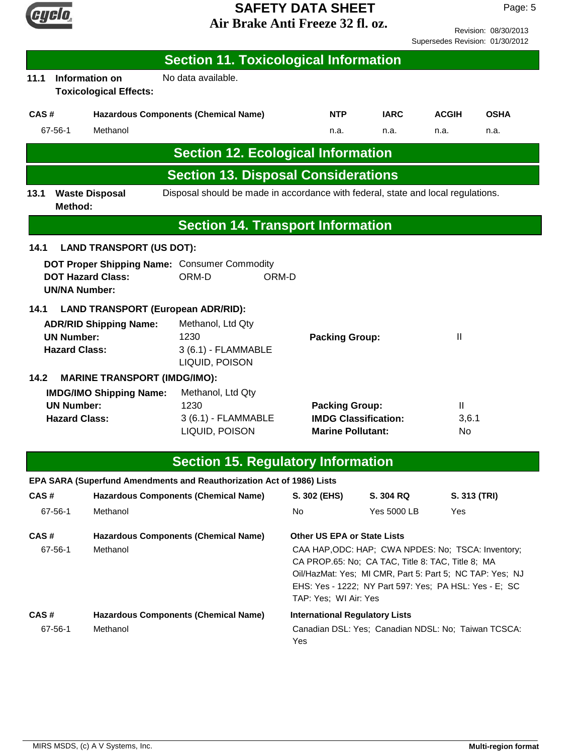

Revision: 08/30/2013 Supersedes Revision: 01/30/2012

| <b>Section 11. Toxicological Information</b>                                                                                    |                                                                                  |                                                             |                                                                                                                                                                                                                               |                   |             |
|---------------------------------------------------------------------------------------------------------------------------------|----------------------------------------------------------------------------------|-------------------------------------------------------------|-------------------------------------------------------------------------------------------------------------------------------------------------------------------------------------------------------------------------------|-------------------|-------------|
| Information on<br>11.1<br><b>Toxicological Effects:</b>                                                                         | No data available.                                                               |                                                             |                                                                                                                                                                                                                               |                   |             |
| CAS#                                                                                                                            | <b>Hazardous Components (Chemical Name)</b>                                      | NTP                                                         | <b>IARC</b>                                                                                                                                                                                                                   | <b>ACGIH</b>      | <b>OSHA</b> |
| Methanol<br>67-56-1                                                                                                             |                                                                                  | n.a.                                                        | n.a.                                                                                                                                                                                                                          | n.a.              | n.a.        |
|                                                                                                                                 | <b>Section 12. Ecological Information</b>                                        |                                                             |                                                                                                                                                                                                                               |                   |             |
|                                                                                                                                 | <b>Section 13. Disposal Considerations</b>                                       |                                                             |                                                                                                                                                                                                                               |                   |             |
| <b>Waste Disposal</b><br>13.1<br>Method:                                                                                        | Disposal should be made in accordance with federal, state and local regulations. |                                                             |                                                                                                                                                                                                                               |                   |             |
|                                                                                                                                 | <b>Section 14. Transport Information</b>                                         |                                                             |                                                                                                                                                                                                                               |                   |             |
| 14.1<br><b>LAND TRANSPORT (US DOT):</b>                                                                                         |                                                                                  |                                                             |                                                                                                                                                                                                                               |                   |             |
| DOT Proper Shipping Name: Consumer Commodity<br><b>DOT Hazard Class:</b><br><b>UN/NA Number:</b>                                | ORM-D<br>ORM-D                                                                   |                                                             |                                                                                                                                                                                                                               |                   |             |
| 14.1<br><b>LAND TRANSPORT (European ADR/RID):</b><br><b>ADR/RID Shipping Name:</b><br><b>UN Number:</b><br><b>Hazard Class:</b> | Methanol, Ltd Qty<br>1230<br>3 (6.1) - FLAMMABLE<br>LIQUID, POISON               | <b>Packing Group:</b>                                       |                                                                                                                                                                                                                               | Ш                 |             |
| 14.2<br><b>MARINE TRANSPORT (IMDG/IMO):</b><br><b>IMDG/IMO Shipping Name:</b><br><b>UN Number:</b><br><b>Hazard Class:</b>      | Methanol, Ltd Qty<br>1230<br>3 (6.1) - FLAMMABLE<br>LIQUID, POISON               | <b>Packing Group:</b><br><b>Marine Pollutant:</b>           | <b>IMDG Classification:</b>                                                                                                                                                                                                   | Ш<br>3,6.1<br>No. |             |
|                                                                                                                                 | <b>Section 15. Regulatory Information</b>                                        |                                                             |                                                                                                                                                                                                                               |                   |             |
| EPA SARA (Superfund Amendments and Reauthorization Act of 1986) Lists                                                           |                                                                                  |                                                             |                                                                                                                                                                                                                               |                   |             |
| CAS#                                                                                                                            | <b>Hazardous Components (Chemical Name)</b>                                      | S. 302 (EHS)                                                | S. 304 RQ                                                                                                                                                                                                                     | S. 313 (TRI)      |             |
| 67-56-1<br>Methanol                                                                                                             |                                                                                  | No                                                          | Yes 5000 LB                                                                                                                                                                                                                   | Yes               |             |
| CAS#<br>67-56-1<br>Methanol                                                                                                     | <b>Hazardous Components (Chemical Name)</b>                                      | <b>Other US EPA or State Lists</b><br>TAP: Yes; WI Air: Yes | CAA HAP, ODC: HAP; CWA NPDES: No; TSCA: Inventory;<br>CA PROP.65: No; CA TAC, Title 8: TAC, Title 8; MA<br>Oil/HazMat: Yes; MI CMR, Part 5: Part 5; NC TAP: Yes; NJ<br>EHS: Yes - 1222; NY Part 597: Yes; PA HSL: Yes - E; SC |                   |             |
| CAS#<br>Methanol<br>67-56-1                                                                                                     | <b>Hazardous Components (Chemical Name)</b>                                      | <b>International Regulatory Lists</b><br>Yes                | Canadian DSL: Yes; Canadian NDSL: No; Taiwan TCSCA:                                                                                                                                                                           |                   |             |